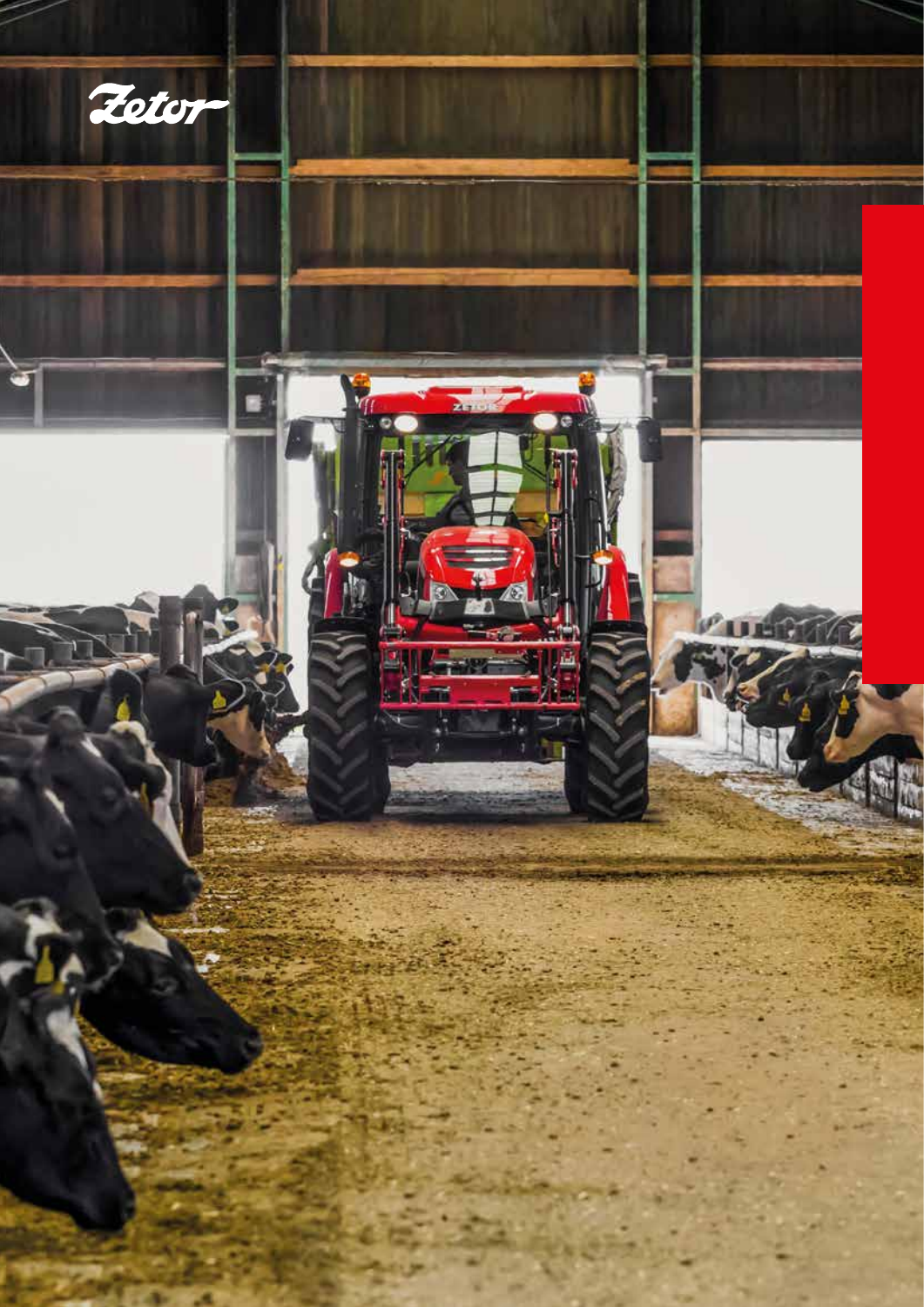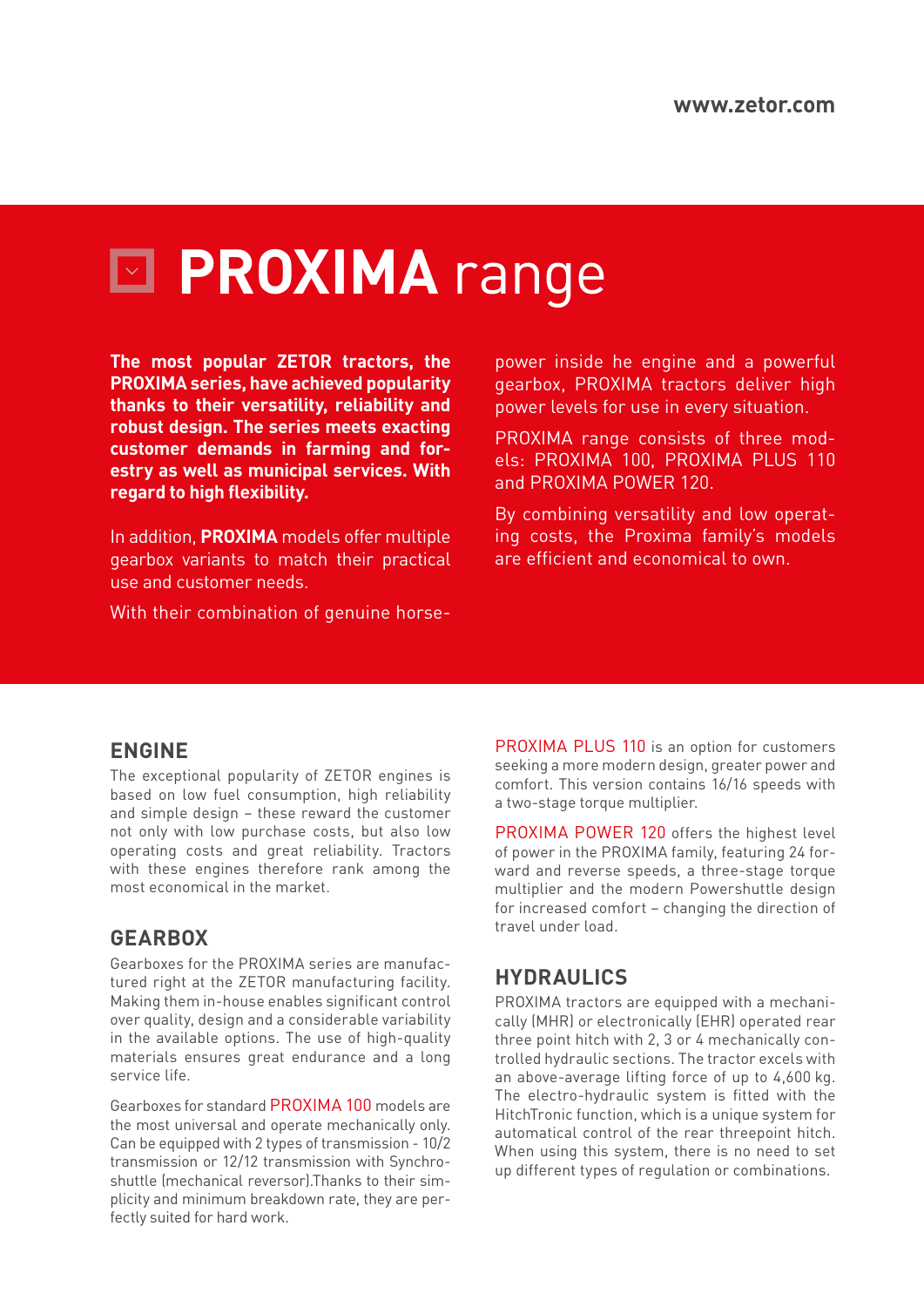# **PROXIMA** range

**The most popular ZETOR tractors, the PROXIMA series, have achieved popularity thanks to their versatility, reliability and robust design. The series meets exacting customer demands in farming and forestry as well as municipal services. With regard to high flexibility.**

In addition, **PROXIMA** models offer multiple gearbox variants to match their practical use and customer needs.

With their combination of genuine horse-

power inside he engine and a powerful gearbox, PROXIMA tractors deliver high power levels for use in every situation.

PROXIMA range consists of three models: PROXIMA 100, PROXIMA PLUS 110 and PROXIMA POWER 120.

By combining versatility and low operating costs, the Proxima family's models are efficient and economical to own.

#### **ENGINE**

The exceptional popularity of ZETOR engines is based on low fuel consumption, high reliability and simple design – these reward the customer not only with low purchase costs, but also low operating costs and great reliability. Tractors with these engines therefore rank among the most economical in the market.

#### **GEARBOX**

Gearboxes for the PROXIMA series are manufactured right at the ZETOR manufacturing facility. Making them in-house enables significant control over quality, design and a considerable variability in the available options. The use of high-quality materials ensures great endurance and a long service life.

Gearboxes for standard PROXIMA 100 models are the most universal and operate mechanically only. Can be equipped with 2 types of transmission - 10/2 transmission or 12/12 transmission with Synchroshuttle (mechanical reversor).Thanks to their simplicity and minimum breakdown rate, they are perfectly suited for hard work.

PROXIMA PLUS 110 is an option for customers seeking a more modern design, greater power and comfort. This version contains 16/16 speeds with a two-stage torque multiplier.

PROXIMA POWER 120 offers the highest level of power in the PROXIMA family, featuring 24 forward and reverse speeds, a three-stage torque multiplier and the modern Powershuttle design for increased comfort – changing the direction of travel under load.

### **HYDRAULICS**

PROXIMA tractors are equipped with a mechanically (MHR) or electronically (EHR) operated rear three point hitch with 2, 3 or 4 mechanically controlled hydraulic sections. The tractor excels with an above-average lifting force of up to 4,600 kg. The electro-hydraulic system is fitted with the HitchTronic function, which is a unique system for automatical control of the rear threepoint hitch. When using this system, there is no need to set up different types of regulation or combinations.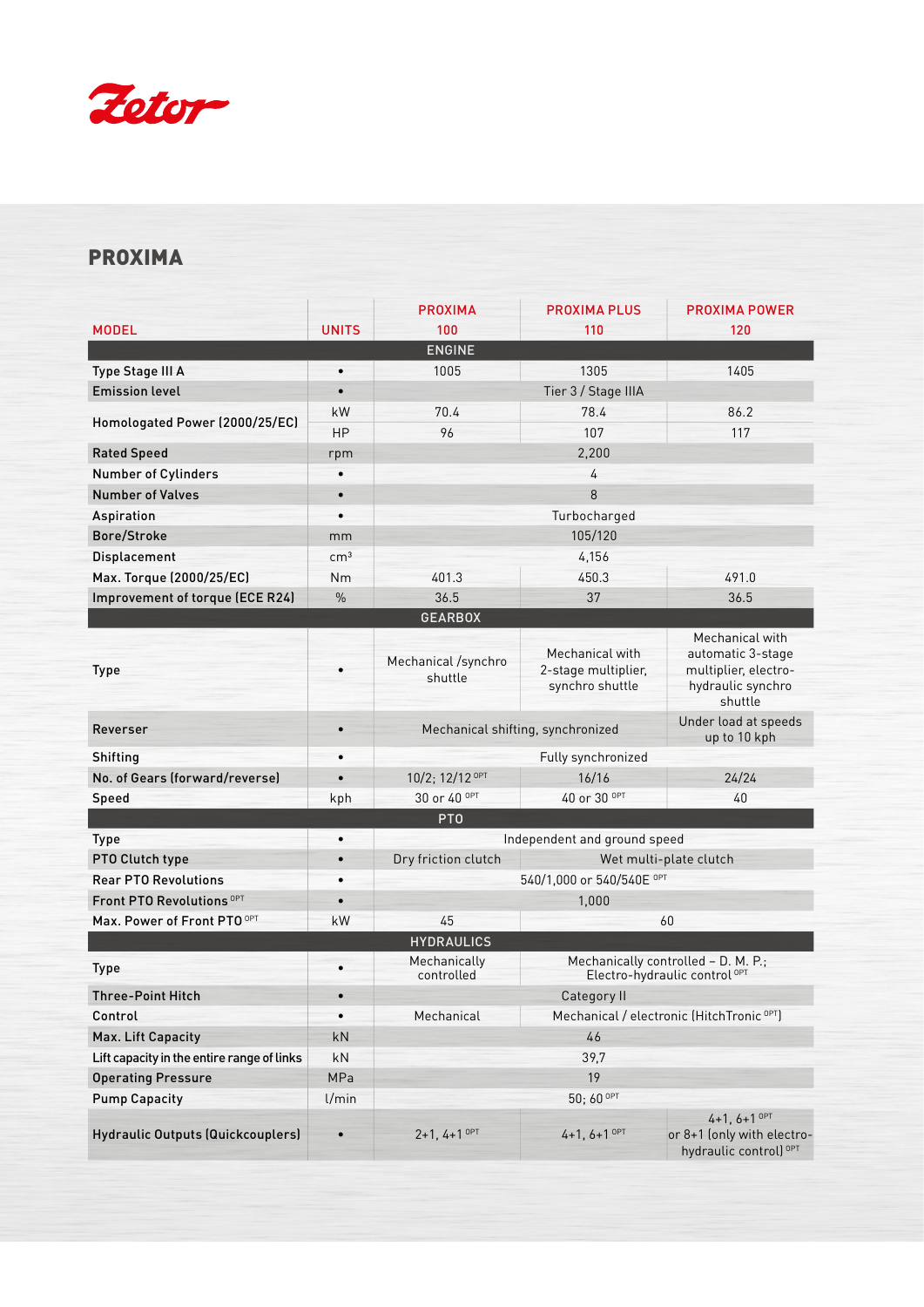

## PROXIMA

|                                            |                 | <b>PROXIMA</b>                    | <b>PROXIMA PLUS</b>                                                             | <b>PROXIMA POWER</b>                                                                         |  |  |  |
|--------------------------------------------|-----------------|-----------------------------------|---------------------------------------------------------------------------------|----------------------------------------------------------------------------------------------|--|--|--|
| <b>MODEL</b>                               | <b>UNITS</b>    | 100                               | 110                                                                             | 120                                                                                          |  |  |  |
| <b>ENGINE</b>                              |                 |                                   |                                                                                 |                                                                                              |  |  |  |
| Type Stage III A                           | $\bullet$       | 1005                              | 1305                                                                            | 1405                                                                                         |  |  |  |
| <b>Emission level</b>                      | $\bullet$       | Tier 3 / Stage IIIA               |                                                                                 |                                                                                              |  |  |  |
| Homologated Power (2000/25/EC)             | kW              | 70.4                              | 78.4                                                                            | 86.2                                                                                         |  |  |  |
|                                            | <b>HP</b>       | 96                                | 107                                                                             | 117                                                                                          |  |  |  |
| <b>Rated Speed</b>                         | rpm             |                                   | 2,200                                                                           |                                                                                              |  |  |  |
| Number of Cylinders                        |                 | 4                                 |                                                                                 |                                                                                              |  |  |  |
| <b>Number of Valves</b>                    | $\bullet$       | 8                                 |                                                                                 |                                                                                              |  |  |  |
| Aspiration                                 | $\bullet$       | Turbocharged                      |                                                                                 |                                                                                              |  |  |  |
| Bore/Stroke                                | mm              | 105/120                           |                                                                                 |                                                                                              |  |  |  |
| Displacement                               | cm <sup>3</sup> | 4,156                             |                                                                                 |                                                                                              |  |  |  |
| Max. Torque (2000/25/EC)                   | Nm              | 401.3                             | 450.3                                                                           | 491.0                                                                                        |  |  |  |
| Improvement of torque (ECE R24)            | $\frac{0}{0}$   | 36.5                              | 37                                                                              | 36.5                                                                                         |  |  |  |
|                                            |                 | <b>GEARBOX</b>                    |                                                                                 |                                                                                              |  |  |  |
| <b>Type</b>                                |                 | Mechanical /synchro<br>shuttle    | Mechanical with<br>2-stage multiplier,<br>synchro shuttle                       | Mechanical with<br>automatic 3-stage<br>multiplier, electro-<br>hydraulic synchro<br>shuttle |  |  |  |
| Reverser                                   |                 | Mechanical shifting, synchronized |                                                                                 | Under load at speeds<br>up to 10 kph                                                         |  |  |  |
| Shifting                                   |                 | Fully synchronized                |                                                                                 |                                                                                              |  |  |  |
| No. of Gears (forward/reverse)             | $\bullet$       | 10/2; 12/12 OPT                   | 16/16                                                                           | 24/24                                                                                        |  |  |  |
| Speed                                      | kph             | 30 or 40 <sup>OPT</sup>           | 40 or 30 <sup>OPT</sup>                                                         | 40                                                                                           |  |  |  |
| PT <sub>0</sub>                            |                 |                                   |                                                                                 |                                                                                              |  |  |  |
| <b>Type</b>                                | $\bullet$       | Independent and ground speed      |                                                                                 |                                                                                              |  |  |  |
| PTO Clutch type                            | $\bullet$       | Dry friction clutch               | Wet multi-plate clutch                                                          |                                                                                              |  |  |  |
| <b>Rear PTO Revolutions</b>                |                 | 540/1,000 or 540/540E OPT         |                                                                                 |                                                                                              |  |  |  |
| <b>Front PTO Revolutions OPT</b>           | $\bullet$       | 1,000                             |                                                                                 |                                                                                              |  |  |  |
| Max. Power of Front PTO OPT                | kW              | 45                                | 60                                                                              |                                                                                              |  |  |  |
|                                            |                 | <b>HYDRAULICS</b>                 |                                                                                 |                                                                                              |  |  |  |
| <b>Type</b>                                |                 | Mechanically<br>controlled        | Mechanically controlled - D. M. P.;<br>Electro-hydraulic control <sup>OPT</sup> |                                                                                              |  |  |  |
| <b>Three-Point Hitch</b>                   | $\bullet$       |                                   | Category II                                                                     |                                                                                              |  |  |  |
| Control                                    | $\bullet$       | Mechanical                        | Mechanical / electronic (HitchTronic <sup>OPT</sup> )                           |                                                                                              |  |  |  |
| Max. Lift Capacity                         | kN              | 46                                |                                                                                 |                                                                                              |  |  |  |
| Lift capacity in the entire range of links | kN              | 39,7                              |                                                                                 |                                                                                              |  |  |  |
| <b>Operating Pressure</b>                  | MPa             | 19                                |                                                                                 |                                                                                              |  |  |  |
| <b>Pump Capacity</b>                       | l/min           | 50; 60 OPT                        |                                                                                 |                                                                                              |  |  |  |
| Hydraulic Outputs (Quickcouplers)          |                 | $2+1, 4+1$ OPT                    | $4+1, 6+1$ OPT                                                                  | $4+1, 6+1$ OPT<br>or 8+1 (only with electro-<br>hydraulic control) <sup>OPT</sup>            |  |  |  |